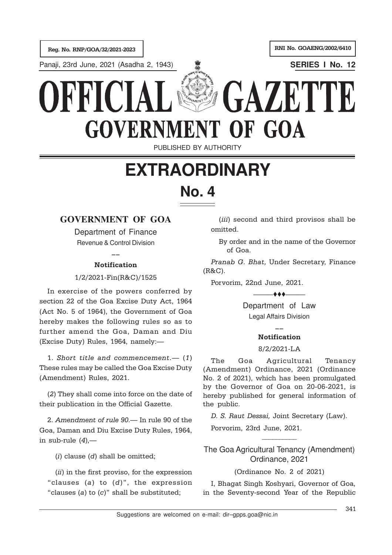Reg. No. RNP/GOA/32/2021-2023 RNI No. GOAENG/2002/6410

Panaji, 23rd June, 2021 (Asadha 2, 1943) **SERIES I No. 12**

## GAZET KKI **GOVERNMENT** OF GOA

PUBLISHED BY AUTHORITY

# **EXTRAORDINARY No. 4**

## **GOVERNMENT OF GOA**

Department of Finance Revenue & Control Division

## $\overline{\phantom{a}}$ Notification

1/2/2021-Fin(R&C)/1525

In exercise of the powers conferred by section 22 of the Goa Excise Duty Act, 1964 (Act No. 5 of 1964), the Government of Goa hereby makes the following rules so as to further amend the Goa, Daman and Diu (Excise Duty) Rules, 1964, namely:—

1. Short title and commencement.— (1) These rules may be called the Goa Excise Duty (Amendment) Rules, 2021.

(2) They shall come into force on the date of their publication in the Official Gazette.

2. Amendment of rule 90.— In rule 90 of the Goa, Daman and Diu Excise Duty Rules, 1964, in sub-rule  $(4)$ ,—

(i) clause (d) shall be omitted;

 $(ii)$  in the first proviso, for the expression "clauses (a) to  $(d)$ ", the expression "clauses (a) to  $(c)$ " shall be substituted;

(iii) second and third provisos shall be omitted.

By order and in the name of the Governor of Goa.

Pranab G. Bhat, Under Secretary, Finance (R&C).

Porvorim, 22nd June, 2021.

Department of Law Legal Affairs Division

 $+ +$ 

### $\overline{\phantom{a}}$ Notification

#### 8/2/2021-LA

The Goa Agricultural Tenancy (Amendment) Ordinance, 2021 (Ordinance No. 2 of 2021), which has been promulgated by the Governor of Goa on 20-06-2021, is hereby published for general information of the public.

D. S. Raut Dessai, Joint Secretary (Law).

Porvorim, 23rd June, 2021.

The Goa Agricultural Tenancy (Amendment) Ordinance, 2021

 $\overline{\phantom{a}}$ 

#### (Ordinance No. 2 of 2021)

I, Bhagat Singh Koshyari, Governor of Goa, in the Seventy-second Year of the Republic